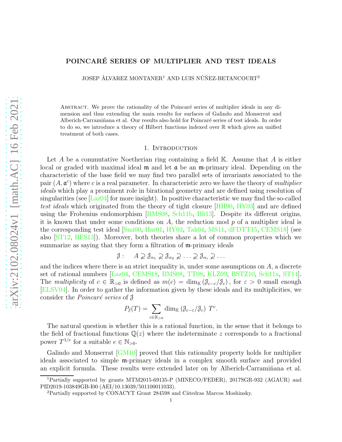# <span id="page-0-0"></span>POINCARE SERIES OF MULTIPLIER AND TEST IDEALS ´

JOSEP ALVAREZ MONTANER<sup>1</sup> AND LUIS NÚÑEZ-BETANCOURT<sup>2</sup>

ABSTRACT. We prove the rationality of the Poincaré series of multiplier ideals in any dimension and thus extending the main results for surfaces of Galindo and Monserrat and Alberich-Carramiñana et al. Our results also hold for Poincaré series of test ideals. In order to do so, we introduce a theory of Hilbert functions indexed over R which gives an unified treatment of both cases.

#### 1. Introduction

Let A be a commutative Noetherian ring containing a field  $\mathbb{K}$ . Assume that A is either local or graded with maximal ideal  $\mathfrak m$  and let  $\mathfrak a$  be an  $\mathfrak m$ -primary ideal. Depending on the characteristic of the base field we may find two parallel sets of invariants associated to the pair  $(A, \mathfrak{a}^c)$  where c is a real parameter. In characteristic zero we have the theory of *multiplier* ideals which play a prominent role in birational geometry and are defined using resolution of singularities (see  $[Laz04]$  for more insight). In positive characteristic we may find the so-called test ideals which originated from the theory of tight closure [\[HH90,](#page-14-1) [HY03\]](#page-14-2) and are defined using the Frobenius endomorphism [\[BMS08,](#page-13-0) [Sch11b,](#page-14-3) [Bli13\]](#page-13-1). Despite its different origins, it is known that under some conditions on  $A$ , the reduction mod  $p$  of a multiplier ideal is the corresponding test ideal [\[Smi00,](#page-14-4) [Har01,](#page-14-5) [HY03,](#page-14-2) [Tak04,](#page-15-0) [MS11,](#page-14-6) [dFDTT15,](#page-14-7) [CEMS18\]](#page-14-8) (see also [\[ST12,](#page-14-9) [BFS13\]](#page-13-2)). Moreover, both theories share a lot of common properties which we summarize as saying that they form a filtration of  $m$ -primary ideals

$$
\mathcal{J}: \quad A \supsetneq \mathcal{J}_{\alpha_1} \supsetneq \mathcal{J}_{\alpha_2} \supsetneq \ldots \supsetneq \mathcal{J}_{\alpha_i} \supsetneq \ldots
$$

and the indices where there is an strict inequality is, under some assumptions on  $A$ , a discrete set of rational numbers [\[Laz04,](#page-14-0) [CEMS18,](#page-14-8) [BMS08,](#page-13-0) [TT08,](#page-15-1) [KLZ09,](#page-14-10) [BSTZ10,](#page-13-3) [Sch11a,](#page-14-11) [ST14\]](#page-15-2). The multiplicity of  $c \in \mathbb{R}_{>0}$  is defined as  $m(c) = \dim_{\mathbb{K}} (\mathcal{J}_{c-\varepsilon}/\mathcal{J}_c)$ , for  $\varepsilon > 0$  small enough [\[ELSV04\]](#page-14-12). In order to gather the information given by these ideals and its multiplicities, we consider the *Poincaré series* of  $\beta$ 

$$
P_{\mathcal{J}}(T) = \sum_{c \in \mathbb{R}_{>0}} \dim_{\mathbb{K}} (\mathcal{J}_{c-\varepsilon}/\mathcal{J}_c) \ T^c.
$$

The natural question is whether this is a rational function, in the sense that it belongs to the field of fractional functions  $\mathbb{Q}(z)$  where the indeterminate z corresponds to a fractional power  $T^{1/e}$  for a suitable  $e \in \mathbb{N}_{>0}$ .

Galindo and Monserrat [\[GM10\]](#page-14-13) proved that this rationality property holds for multiplier ideals associated to simple m-primary ideals in a complex smooth surface and provided an explicit formula. These results were extended later on by Alberich-Carraminana et al.

<sup>1</sup>Partially supported by grants MTM2015-69135-P (MINECO/FEDER), 2017SGR-932 (AGAUR) and PID2019-103849GB-I00 (AEI/10.13039/501100011033).

<sup>&</sup>lt;sup>2</sup>Partially supported by CONACYT Grant 284598 and Cátedras Marcos Moshinsky.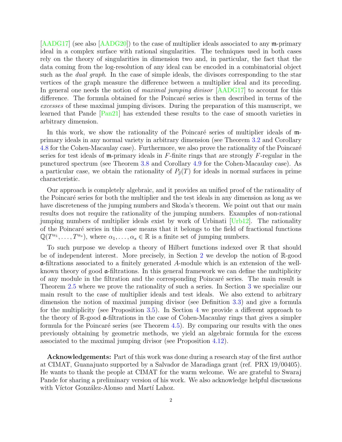<span id="page-1-0"></span>[\[AADG17\]](#page-13-4) (see also [\[AADG20\]](#page-13-5)) to the case of multiplier ideals associated to any m-primary ideal in a complex surface with rational singularities. The techniques used in both cases rely on the theory of singularities in dimension two and, in particular, the fact that the data coming from the log-resolution of any ideal can be encoded in a combinatorial object such as the *dual graph*. In the case of simple ideals, the divisors corresponding to the star vertices of the graph measure the difference between a multiplier ideal and its preceding. In general one needs the notion of *maximal jumping divisor* [\[AADG17\]](#page-13-4) to account for this difference. The formula obtained for the Poincaré series is then described in terms of the excesses of these maximal jumping divisors. During the preparation of this manuscript, we learned that Pande [\[Pan21\]](#page-14-14) has extended these results to the case of smooth varieties in arbitrary dimension.

In this work, we show the rationality of the Poincaré series of multiplier ideals of  $m$ primary ideals in any normal variety in arbitrary dimension (see Theorem [3.2](#page-5-0) and Corollary [4.8](#page-11-0) for the Cohen-Macaulay case). Furthermore, we also prove the rationality of the Poincaré series for test ideals of  $\mathfrak{m}$ -primary ideals in F-finite rings that are strongly F-regular in the punctured spectrum (see Theorem [3.8](#page-7-0) and Corollary [4.9](#page-11-1) for the Cohen-Macaulay case). As a particular case, we obtain the rationality of  $P_{\beta}(T)$  for ideals in normal surfaces in prime characteristic.

Our approach is completely algebraic, and it provides an unified proof of the rationality of the Poincaré series for both the multiplier and the test ideals in any dimension as long as we have discreteness of the jumping numbers and Skoda's theorem. We point out that our main results does not require the rationality of the jumping numbers. Examples of non-rational jumping numbers of multiplier ideals exist by work of Urbinati [\[Urb12\]](#page-15-3). The rationality of the Poincar´e series in this case means that it belongs to the field of fractional functions  $\mathbb{Q}(T^{\alpha_1}, \ldots, T^{\alpha_s}),$  where  $\alpha_1, \ldots, \alpha_s \in \mathbb{R}$  is a finite set of jumping numbers.

To such purpose we develop a theory of Hilbert functions indexed over  $\mathbb R$  that should be of independent interest. More precisely, in Section [2](#page-2-0) we develop the notion of R-good a-filtrations associated to a finitely generated A-module which is an extension of the wellknown theory of good a-filtrations. In this general framework we can define the multiplicity of any module in the filtration and the corresponding Poincaré series. The main result is Theorem [2.5](#page-4-0) where we prove the rationality of such a series. In Section [3](#page-4-1) we specialize our main result to the case of multiplier ideals and test ideals. We also extend to arbitrary dimension the notion of maximal jumping divisor (see Definition [3.3\)](#page-6-0) and give a formula for the multiplicity (see Proposition [3.5\)](#page-6-1). In Section [4](#page-8-0) we provide a different approach to the theory of R-good a-filtrations in the case of Cohen-Macaulay rings that gives a simpler formula for the Poincaré series (see Theorem  $4.5$ ). By comparing our results with the ones previously obtaining by geometric methods, we yield an algebraic formula for the excess associated to the maximal jumping divisor (see Proposition [4.12\)](#page-12-0).

Acknowledgements: Part of this work was done during a research stay of the first author at CIMAT, Guanajuato supported by a Salvador de Maradiaga grant (ref. PRX 19/00405). He wants to thank the people at CIMAT for the warm welcome. We are grateful to Swaraj Pande for sharing a preliminary version of his work. We also acknowledge helpful discussions with Víctor González-Alonso and Martí Lahoz.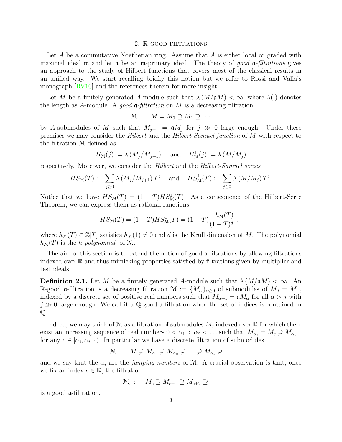#### 2. R-good filtrations

<span id="page-2-1"></span><span id="page-2-0"></span>Let  $A$  be a commutative Noetherian ring. Assume that  $A$  is either local or graded with maximal ideal  $\mathfrak m$  and let  $\mathfrak a$  be an  $\mathfrak m$ -primary ideal. The theory of good  $\mathfrak a$ -filtrations gives an approach to the study of Hilbert functions that covers most of the classical results in an unified way. We start recalling briefly this notion but we refer to Rossi and Valla's monograph [\[RV10\]](#page-14-15) and the references therein for more insight.

Let M be a finitely generated A-module such that  $\lambda(M/\mathfrak{a}M)<\infty$ , where  $\lambda(\cdot)$  denotes the length as A-module. A good  $\mathfrak{a}\text{-}filtration$  on M is a decreasing filtration

$$
\mathcal{M}: \quad M=M_0\supseteq M_1\supseteq\cdots
$$

by A-submodules of M such that  $M_{j+1} = \mathfrak{a}M_j$  for  $j \gg 0$  large enough. Under these premises we may consider the Hilbert and the Hilbert-Samuel function of M with respect to the filtration M defined as

$$
H_{\mathcal{M}}(j) := \lambda \left( M_j / M_{j+1} \right) \quad \text{ and } \quad H^1_{\mathcal{M}}(j) := \lambda \left( M / M_j \right)
$$

respectively. Moreover, we consider the Hilbert and the Hilbert-Samuel series

$$
HS_{\mathcal{M}}(T) := \sum_{j\geq 0} \lambda \left( M_j / M_{j+1} \right) T^j \quad \text{and} \quad HS_{\mathcal{M}}^1(T) := \sum_{j\geq 0} \lambda \left( M / M_j \right) T^j.
$$

Notice that we have  $HS_{\mathcal{M}}(T) = (1 - T)HS_{\mathcal{M}}^1(T)$ . As a consequence of the Hilbert-Serre Theorem, we can express them as rational functions

$$
HS_{\mathcal{M}}(T) = (1 - T)HS_{\mathcal{M}}^{1}(T) = (1 - T)\frac{h_{\mathcal{M}}(T)}{(1 - T)^{d+1}},
$$

where  $h_{\mathcal{M}}(T) \in \mathbb{Z}[T]$  satisfies  $h_{\mathcal{M}}(1) \neq 0$  and d is the Krull dimension of M. The polynomial  $h_{\mathcal{M}}(T)$  is the *h-polynomial* of M.

The aim of this section is to extend the notion of good  $\alpha$ -filtrations by allowing filtrations indexed over  $\mathbb R$  and thus mimicking properties satisfied by filtrations given by multiplier and test ideals.

**Definition 2.1.** Let M be a finitely generated A-module such that  $\lambda (M/\mathfrak{a}M) < \infty$ . An R-good **a**-filtration is a decreasing filtration  $\mathcal{M} := \{M_{\alpha}\}_{{\alpha} > 0}$  of submodules of  $M_0 = M$ , indexed by a discrete set of positive real numbers such that  $M_{\alpha+1} = \mathfrak{a} M_{\alpha}$  for all  $\alpha > j$  with  $j \gg 0$  large enough. We call it a Q-good a-filtration when the set of indices is contained in Q.

Indeed, we may think of M as a filtration of submodules  $M_c$  indexed over R for which there exist an increasing sequence of real numbers  $0 < \alpha_1 < \alpha_2 < \dots$  such that  $M_{\alpha_i} = M_c \supsetneq M_{\alpha_{i+1}}$ for any  $c \in [\alpha_i, \alpha_{i+1})$ . In particular we have a discrete filtration of submodules

$$
\mathcal{M}: \quad M \supsetneq M_{\alpha_1} \supsetneq M_{\alpha_2} \supsetneq \ldots \supsetneq M_{\alpha_i} \supsetneq \ldots
$$

and we say that the  $\alpha_i$  are the *jumping numbers* of M. A crucial observation is that, once we fix an index  $c \in \mathbb{R}$ , the filtration

$$
\mathcal{M}_c: \quad M_c \supseteq M_{c+1} \supseteq M_{c+2} \supseteq \cdots
$$

is a good a-filtration.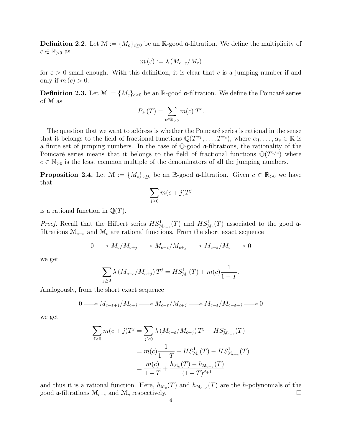**Definition 2.2.** Let  $\mathcal{M} := \{M_c\}_{c \geq 0}$  be an R-good a-filtration. We define the multiplicity of  $c \in \mathbb{R}_{>0}$  as

$$
m(c) := \lambda \left( M_{c-\varepsilon}/M_c \right)
$$

for  $\varepsilon > 0$  small enough. With this definition, it is clear that c is a jumping number if and only if  $m(c) > 0$ .

**Definition 2.3.** Let  $\mathcal{M} := \{M_c\}_{c \geq 0}$  be an R-good a-filtration. We define the Poincaré series of M as

$$
P_{\mathcal{M}}(T) = \sum_{c \in \mathbb{R}_{>0}} m(c) T^c.
$$

The question that we want to address is whether the Poincaré series is rational in the sense that it belongs to the field of fractional functions  $\mathbb{Q}(T^{\alpha_1}, \ldots, T^{\alpha_s}),$  where  $\alpha_1, \ldots, \alpha_s \in \mathbb{R}$  is a finite set of jumping numbers. In the case of Q-good a-filtrations, the rationality of the Poincaré series means that it belongs to the field of fractional functions  $\mathbb{Q}(T^{1/e})$  where  $e \in \mathbb{N}_{>0}$  is the least common multiple of the denominators of all the jumping numbers.

<span id="page-3-0"></span>**Proposition 2.4.** Let  $\mathcal{M} := \{M_c\}_{c \geq 0}$  be an R-good a-filtration. Given  $c \in \mathbb{R}_{>0}$  we have that

$$
\sum_{j\geq 0} m(c+j)T^j
$$

is a rational function in  $\mathbb{Q}(T)$ .

*Proof.* Recall that the Hilbert series  $HS_{\mathcal{M}_{c-\epsilon}}^1(T)$  and  $HS_{\mathcal{M}_c}^1(T)$  associated to the good afiltrations  $\mathcal{M}_{c-\varepsilon}$  and  $\mathcal{M}_c$  are rational functions. From the short exact sequence

$$
0 \longrightarrow M_c/M_{c+j} \longrightarrow M_{c-\varepsilon}/M_{c+j} \longrightarrow M_{c-\varepsilon}/M_c \longrightarrow 0
$$

we get

$$
\sum_{j\geq 0} \lambda \left( M_{c-\varepsilon}/M_{c+j} \right) T^j = HS_{\mathcal{M}_c}^1(T) + m(c) \frac{1}{1-T}.
$$

Analogously, from the short exact sequence

$$
0 \longrightarrow M_{c-\varepsilon+j}/M_{c+j} \longrightarrow M_{c-\varepsilon}/M_{c+j} \longrightarrow M_{c-\varepsilon}/M_{c-\varepsilon+j} \longrightarrow 0
$$

we get

$$
\sum_{j\geq 0} m(c+j)T^j = \sum_{j\geq 0} \lambda (M_{c-\varepsilon}/M_{c+j}) T^j - HS_{\mathcal{M}_{c-\varepsilon}}^1(T)
$$
  
=  $m(c)\frac{1}{1-T} + HS_{\mathcal{M}_c}^1(T) - HS_{\mathcal{M}_{c-\varepsilon}}^1(T)$   
=  $\frac{m(c)}{1-T} + \frac{h_{\mathcal{M}_c}(T) - h_{\mathcal{M}_{c-\varepsilon}}(T)}{(1-T)^{d+1}}$ 

and thus it is a rational function. Here,  $h_{\mathcal{M}_c}(T)$  and  $h_{\mathcal{M}_{c-\varepsilon}}(T)$  are the h-polynomials of the good  $\mathfrak{a}\text{-}$ filtrations  $\mathcal{M}_{c-\varepsilon}$  and  $\mathcal{M}_c$  respectively.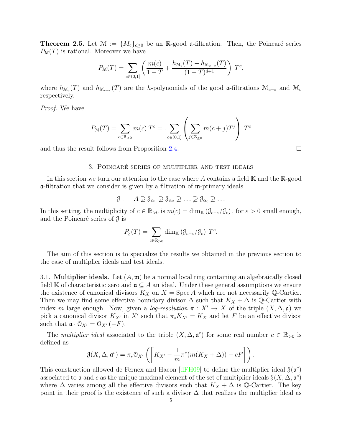<span id="page-4-2"></span><span id="page-4-0"></span>**Theorem 2.5.** Let  $\mathcal{M} := \{M_c\}_{c \geq 0}$  be an R-good a-filtration. Then, the Poincaré series  $P_{\mathcal{M}}(T)$  is rational. Moreover we have

$$
P_{\mathcal{M}}(T) = \sum_{c \in (0,1]} \left( \frac{m(c)}{1-T} + \frac{h_{\mathcal{M}_c}(T) - h_{\mathcal{M}_{c-\varepsilon}}(T)}{(1-T)^{d+1}} \right) T^c,
$$

where  $h_{\mathcal{M}_c}(T)$  and  $h_{\mathcal{M}_{c-\varepsilon}}(T)$  are the h-polynomials of the good  $\mathfrak{a}$ -filtrations  $\mathcal{M}_{c-\varepsilon}$  and  $\mathcal{M}_c$ respectively.

Proof. We have

$$
P_{\mathcal{M}}(T) = \sum_{c \in \mathbb{R}_{>0}} m(c) T^{c} = \sum_{c \in (0,1]} \left( \sum_{j \in \mathbb{Z}_{\geq 0}} m(c+j) T^{j} \right) T
$$

<span id="page-4-1"></span>and thus the result follows from Proposition [2.4.](#page-3-0)  $\Box$ 

# 3. POINCARÉ SERIES OF MULTIPLIER AND TEST IDEALS

In this section we turn our attention to the case where A contains a field  $\mathbb{K}$  and the  $\mathbb{R}$ -good a-filtration that we consider is given by a filtration of m-primary ideals

 $\mathcal{J}: A \supsetneq \mathcal{J}_{\alpha_1} \supsetneq \mathcal{J}_{\alpha_2} \supsetneq \ldots \supsetneq \mathcal{J}_{\alpha_i} \supsetneq \ldots$ 

In this setting, the multiplicity of  $c \in \mathbb{R}_{>0}$  is  $m(c) = \dim_{\mathbb{K}} (\mathcal{J}_{c-\varepsilon}/\mathcal{J}_c)$ , for  $\varepsilon > 0$  small enough, and the Poincaré series of  $\beta$  is

$$
P_{\mathcal{J}}(T) = \sum_{c \in \mathbb{R}_{>0}} \dim_{\mathbb{K}} (\mathcal{J}_{c-\varepsilon}/\mathcal{J}_c) \ T^c.
$$

The aim of this section is to specialize the results we obtained in the previous section to the case of multiplier ideals and test ideals.

3.1. **Multiplier ideals.** Let  $(A, \mathfrak{m})$  be a normal local ring containing an algebraically closed field K of characteristic zero and  $\mathfrak{a} \subseteq A$  an ideal. Under these general assumptions we ensure the existence of canonical divisors  $K_X$  on  $X = \text{Spec } A$  which are not necessarily Q-Cartier. Then we may find some effective boundary divisor  $\Delta$  such that  $K_X + \Delta$  is Q-Cartier with index m large enough. Now, given a *log-resolution*  $\pi : X' \to X$  of the triple  $(X, \Delta, \mathfrak{a})$  we pick a canonical divisor  $K_{X'}$  in X' such that  $\pi_* K_{X'} = K_X$  and let F be an effective divisor such that  $\mathfrak{a} \cdot \mathfrak{O}_{X'} = \mathfrak{O}_{X'}(-F)$ .

The *multiplier ideal* associated to the triple  $(X, \Delta, \mathfrak{a}^c)$  for some real number  $c \in \mathbb{R}_{>0}$  is defined as

$$
\mathcal{J}(X,\Delta,\mathfrak{a}^c) = \pi_* \mathfrak{O}_{X'} \left( \left[ K_{X'} - \frac{1}{m} \pi^* (m(K_X + \Delta)) - cF \right] \right).
$$

This construction allowed de Fernex and Hacon [\[dFH09\]](#page-14-16) to define the multiplier ideal  $\mathcal{J}(\mathfrak{a}^c)$ associated to  $\mathfrak a$  and c as the unique maximal element of the set of multiplier ideals  $\mathfrak J(X,\Delta,\mathfrak a^c)$ where  $\Delta$  varies among all the effective divisors such that  $K_X + \Delta$  is Q-Cartier. The key point in their proof is the existence of such a divisor  $\Delta$  that realizes the multiplier ideal as

c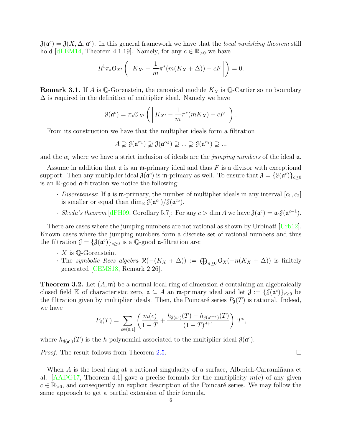<span id="page-5-1"></span> $\mathcal{J}(\mathfrak{a}^c) = \mathcal{J}(X, \Delta, \mathfrak{a}^c)$ . In this general framework we have that the local vanishing theorem still hold [\[dFEM14,](#page-14-17) Theorem 4.1.19]. Namely, for any  $c \in \mathbb{R}_{>0}$  we have

$$
R^1 \pi_* \mathcal{O}_{X'}\left(\left[K_{X'} - \frac{1}{m} \pi^* (m(K_X + \Delta)) - cF\right]\right) = 0.
$$

**Remark 3.1.** If A is Q-Gorenstein, the canonical module  $K_X$  is Q-Cartier so no boundary  $\Delta$  is required in the definition of multiplier ideal. Namely we have

$$
\mathcal{J}(\mathfrak{a}^c) = \pi_* \mathfrak{O}_{X'} \left( \left[ K_{X'} - \frac{1}{m} \pi^* (mK_X) - cF \right] \right).
$$

From its construction we have that the multiplier ideals form a filtration

$$
A \supsetneq \mathcal{J}(\mathfrak{a}^{\alpha_1}) \supsetneq \mathcal{J}(\mathfrak{a}^{\alpha_2}) \supsetneq \dots \supsetneq \mathcal{J}(\mathfrak{a}^{\alpha_i}) \supsetneq \dots
$$

and the  $\alpha_i$  where we have a strict inclusion of ideals are the jumping numbers of the ideal  $\alpha$ .

Assume in addition that  $\mathfrak a$  is an m-primary ideal and thus F is a divisor with exceptional support. Then any multiplier ideal  $\mathcal{J}(\mathfrak{a}^c)$  is m-primary as well. To ensure that  $\mathcal{J} = \{ \mathcal{J}(\mathfrak{a}^c) \}_{c \geq 0}$ is an  $\mathbb{R}$ -good  $\mathfrak{a}$ -filtration we notice the following:

- $\cdot$  *Discreteness*: If **a** is **m**-primary, the number of multiplier ideals in any interval  $[c_1, c_2]$ is smaller or equal than  $\dim_{\mathbb{K}} \mathcal{J}(\mathfrak{a}^{c_1}) / \mathcal{J}(\mathfrak{a}^{c_2})$ .
- · Skoda's theorem [\[dFH09,](#page-14-16) Corollary 5.7]: For any  $c > \dim A$  we have  $\mathcal{J}(\mathfrak{a}^c) = \mathfrak{a} \cdot \mathcal{J}(\mathfrak{a}^{c-1})$ .

There are cases where the jumping numbers are not rational as shown by Urbinati [\[Urb12\]](#page-15-3). Known cases where the jumping numbers form a discrete set of rational numbers and thus the filtration  $\mathcal{J} = {\{\mathcal{J}(\mathfrak{a}^c)\}}_{c \geq 0}$  is a Q-good  $\mathfrak{a}\text{-filtration}$  are:

- $\cdot$  X is Q-Gorenstein.
- The symbolic Rees algebra  $\mathcal{R}(-(K_X + \Delta)) := \bigoplus_{n \geq 0} \mathcal{O}_X(-n(K_X + \Delta))$  is finitely generated [\[CEMS18,](#page-14-8) Remark 2.26].

<span id="page-5-0"></span>**Theorem 3.2.** Let  $(A, \mathfrak{m})$  be a normal local ring of dimension d containing an algebraically closed field K of characteristic zero,  $\mathfrak{a} \subseteq A$  an  $\mathfrak{m}$ -primary ideal and let  $\mathfrak{J} := \{ \mathfrak{J}(\mathfrak{a}^c) \}_{c \geq 0}$  be the filtration given by multiplier ideals. Then, the Poincaré series  $P_{\mathfrak{J}}(T)$  is rational. Indeed, we have

$$
P_{\mathcal{J}}(T) = \sum_{c \in (0,1]} \left( \frac{m(c)}{1-T} + \frac{h_{\mathcal{J}(a^c)}(T) - h_{\mathcal{J}(a^{c-\epsilon})}(T)}{(1-T)^{d+1}} \right) T^c,
$$

where  $h_{\mathcal{J}(\mathfrak{a}^c)}(T)$  is the *h*-polynomial associated to the multiplier ideal  $\mathcal{J}(\mathfrak{a}^c)$ .

*Proof.* The result follows from Theorem [2.5.](#page-4-0)

When  $\vec{A}$  is the local ring at a rational singularity of a surface, Alberich-Carramiñana et al. [\[AADG17,](#page-13-4) Theorem 4.1] gave a precise formula for the multiplicity  $m(c)$  of any given  $c \in \mathbb{R}_{>0}$ , and consequently an explicit description of the Poincaré series. We may follow the same approach to get a partial extension of their formula.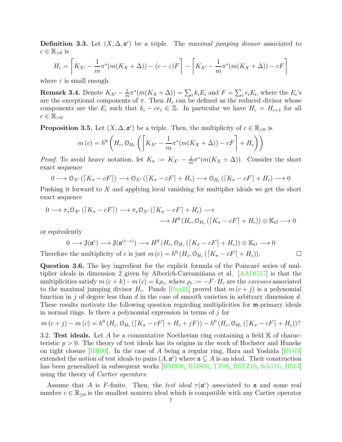<span id="page-6-2"></span><span id="page-6-0"></span>**Definition 3.3.** Let  $(X, \Delta, \mathfrak{a}^c)$  be a triple. The maximal jumping divisor associated to  $c \in \mathbb{R}_{>0}$  is

$$
H_c = \left[K_{X'} - \frac{1}{m}\pi^*(m(K_X + \Delta)) - (c - \varepsilon)F\right] - \left[K_{X'} - \frac{1}{m}\pi^*(m(K_X + \Delta)) - cF\right]
$$

where  $\varepsilon$  is small enough.

**Remark 3.4.** Denote  $K_{X'} - \frac{1}{m}$  $\frac{1}{m}\pi^*(m(K_X+\Delta))=\sum_i k_iE_i$  and  $F=\sum_i e_iE_i$ , where the  $E_i$ 's are the exceptional components of  $\pi$ . Then  $H_c$  can be defined as the reduced divisor whose components are the  $E_i$  such that  $k_i - ce_i \in \mathbb{Z}$ . In particular we have  $H_c = H_{c+1}$  for all  $c \in \mathbb{R}_{>0}$ .

<span id="page-6-1"></span>**Proposition 3.5.** Let  $(X, \Delta, \mathfrak{a}^c)$  be a triple. Then, the multiplicity of  $c \in \mathbb{R}_{>0}$  is

$$
m(c) = h^{0}\left(H_{c}, \mathcal{O}_{H_{c}}\left(\left[K_{X'} - \frac{1}{m}\pi^{*}(m(K_{X} + \Delta)) - cF\right] + H_{c}\right)\right)
$$

*Proof.* To avoid heavy notation, let  $K_\pi := K_{X'} - \frac{1}{m}$  $\frac{1}{m}\pi^*(m(K_X+\Delta)).$  Consider the short exact sequence

$$
0 \longrightarrow \mathcal{O}_{X'}([K_{\pi}-cF]) \longrightarrow \mathcal{O}_{X'}([K_{\pi}-cF]+H_c) \longrightarrow \mathcal{O}_{H_c}([K_{\pi}-cF]+H_c) \longrightarrow 0
$$

Pushing it forward to X and applying local vanishing for multiplier ideals we get the short exact sequence

$$
0 \longrightarrow \pi_* \mathcal{O}_{X'}([K_{\pi}-cF]) \longrightarrow \pi_* \mathcal{O}_{X'}([K_{\pi}-cF]+H_c) \longrightarrow
$$
  

$$
\longrightarrow H^0(H_c, \mathcal{O}_{H_c}([K_{\pi}-cF]+H_c)) \otimes \mathbb{K}_O \longrightarrow 0
$$

or equivalently

$$
0 \longrightarrow \mathcal{J}(\mathfrak{a}^c) \longrightarrow \mathcal{J}(\mathfrak{a}^{(c-\varepsilon)}) \longrightarrow H^0(H_c, \mathcal{O}_{H_c}([K_{\pi}-cF]+H_c)) \otimes \mathbb{K}_O \longrightarrow 0
$$
  
Therefore the multiplicity of c is just  $m(c) = h^0(H_c, \mathcal{O}_{H_c}([K_{\pi}-cF]+H_c)).$ 

Question 3.6. The key ingredient for the explicit formula of the Poincaré series of mul-tiplier ideals in dimension 2 given by Alberich-Carramiñana et al. [\[AADG17\]](#page-13-4) is that the multiplicities satisfy  $m(c + k) - m(c) = k\rho_c$ , where  $\rho_c := -F \cdot H_c$  are the *excesses* associated to the maximal jumping divisor  $H_c$ . Pande [\[Pan21\]](#page-14-14) proved that  $m(c + j)$  is a polynomial function in j of degree less than  $d$  in the case of smooth varieties in arbitrary dimension  $d$ . These results motivate the following question regarding multiplicities for m-primary ideals in normal rings. Is there a polynomial expression in terms of  $j$  for

$$
m(c + j) - m(c) = h^{0}(H_{c}, \mathcal{O}_{H_{c}}([K_{\pi} - cF] + H_{c} + jF)) - h^{0}(H_{c}, \mathcal{O}_{H_{c}}([K_{\pi} - cF] + H_{c}))
$$

3.2. Test ideals. Let A be a commutative Noetherian ring containing a field  $\mathbb K$  of characteristic  $p > 0$ . The theory of test ideals has its origins in the work of Hochster and Huneke on tight closure [\[HH90\]](#page-14-1). In the case of A being a regular ring, Hara and Yoshida [\[HY03\]](#page-14-2) extended the notion of test ideals to pairs  $(A, \mathfrak{a}^c)$  where  $\mathfrak{a} \subseteq A$  is an ideal. Their construction has been generalized in subsequent works [\[BMS08,](#page-13-0) [BMS09,](#page-13-6) [TT08,](#page-15-1) [BSTZ10,](#page-13-3) [Sch11b,](#page-14-3) [Bli13\]](#page-13-1) using the theory of Cartier operators.

Assume that A is F-finite. Then, the test ideal  $\tau(\mathfrak{a}^c)$  associated to **a** and some real number  $c \in \mathbb{R}_{\geq 0}$  is the smallest nonzero ideal which is compatible with any Cartier operator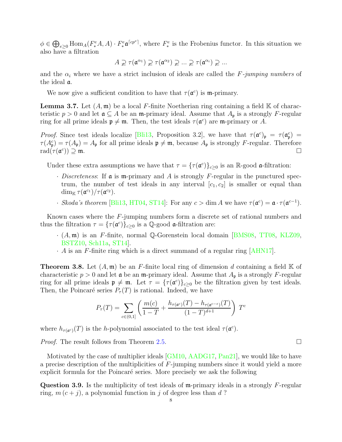<span id="page-7-1"></span> $\phi \in \bigoplus_{e\geq 0} \text{Hom}_{A}(F^e_*A, A) \cdot F^e_* \mathfrak{a}^{\lceil c p^e \rceil}$ , where  $F^e_*$  is the Frobenius functor. In this situation we also have a filtration

$$
A \supsetneq \tau(\mathfrak{a}^{\alpha_1}) \supsetneq \tau(\mathfrak{a}^{\alpha_2}) \supsetneq \dots \supsetneq \tau(\mathfrak{a}^{\alpha_i}) \supsetneq \dots
$$

and the  $\alpha_i$  where we have a strict inclusion of ideals are called the F-jumping numbers of the ideal a.

We now give a sufficient condition to have that  $\tau(\mathfrak{a}^c)$  is m-primary.

**Lemma 3.7.** Let  $(A, \mathfrak{m})$  be a local F-finite Noetherian ring containing a field K of characteristic  $p > 0$  and let  $\mathfrak{a} \subseteq A$  be an m-primary ideal. Assume that  $A_{\mathfrak{p}}$  is a strongly F-regular ring for all prime ideals  $\mathfrak{p} \neq \mathfrak{m}$ . Then, the test ideals  $\tau(\mathfrak{a}^c)$  are  $\mathfrak{m}$ -primary or A.

Proof. Since test ideals localize [\[Bli13,](#page-13-1) Proposition 3.2], we have that  $\tau(\mathfrak{a}^c)_{\mathfrak{p}} = \tau(\mathfrak{a}^c_{\mathfrak{p}}) =$  $\tau(A_{\mathfrak{p}}^c) = \tau(A_{\mathfrak{p}}) = A_{\mathfrak{p}}$  for all prime ideals  $\mathfrak{p} \neq \mathfrak{m}$ , because  $A_{\mathfrak{p}}$  is strongly F-regular. Therefore  $\mathrm{rad}(\tau(\mathfrak{a}^c$ )) ⊇ m.

Under these extra assumptions we have that  $\tau = {\{\tau(\mathfrak{a}^c)\}}_{c \geq 0}$  is an R-good  $\mathfrak{a}\text{-filtration}$ :

- $\cdot$  *Discreteness*: If  $\mathfrak{a}$  is  $\mathfrak{m}$ -primary and A is strongly F-regular in the punctured spectrum, the number of test ideals in any interval  $[c_1, c_2]$  is smaller or equal than  $\dim_{\mathbb{K}} \tau(\mathfrak{a}^{c_1})/\tau(\mathfrak{a}^{c_2}).$
- · Skoda's theorem [\[Bli13,](#page-13-1) [HT04,](#page-14-18) [ST14\]](#page-15-2): For any  $c > \dim A$  we have  $\tau(\mathfrak{a}^c) = \mathfrak{a} \cdot \tau(\mathfrak{a}^{c-1})$ .

Known cases where the F-jumping numbers form a discrete set of rational numbers and thus the filtration  $\tau = {\{\tau(\mathfrak{a}^c)\}}_{c \geq 0}$  is a Q-good  $\mathfrak{a}$ -filtration are:

- $\cdot$  (A, m) is an F-finite, normal Q-Gorenstein local domain [\[BMS08,](#page-13-0) [TT08,](#page-15-1) [KLZ09,](#page-14-10) [BSTZ10,](#page-13-3) [Sch11a,](#page-14-11) [ST14\]](#page-15-2).
- $\cdot$  A is an F-finite ring which is a direct summand of a regular ring [\[AHN17\]](#page-13-7).

<span id="page-7-0"></span>**Theorem 3.8.** Let  $(A, \mathfrak{m})$  be an F-finite local ring of dimension d containing a field K of characteristic  $p > 0$  and let  $\mathfrak a$  be an  $\mathfrak m$ -primary ideal. Assume that  $A_{\mathfrak p}$  is a strongly F-regular ring for all prime ideals  $\mathfrak{p} \neq \mathfrak{m}$ . Let  $\tau = {\{\tau(\mathfrak{a}^c)\}}_{c \geq 0}$  be the filtration given by test ideals. Then, the Poincaré series  $P_{\tau}(T)$  is rational. Indeed, we have

$$
P_{\tau}(T) = \sum_{c \in (0,1]} \left( \frac{m(c)}{1-T} + \frac{h_{\tau(\mathfrak{a}^c)}(T) - h_{\tau(\mathfrak{a}^{c-\epsilon})}(T)}{(1-T)^{d+1}} \right) T^c
$$

where  $h_{\tau(\mathfrak{a}^c)}(T)$  is the *h*-polynomial associated to the test ideal  $\tau(\mathfrak{a}^c)$ .

*Proof.* The result follows from Theorem [2.5.](#page-4-0)

Motivated by the case of multiplier ideals [\[GM10,](#page-14-13) [AADG17,](#page-13-4) [Pan21\]](#page-14-14), we would like to have a precise description of the multiplicities of F-jumping numbers since it would yield a more explicit formula for the Poincaré series. More precisely we ask the following

**Question 3.9.** Is the multiplicity of test ideals of  $m$ -primary ideals in a strongly F-regular ring,  $m(c + j)$ , a polynomial function in j of degree less than d?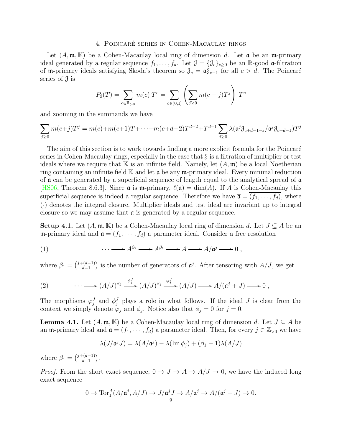## 4. POINCARÉ SERIES IN COHEN-MACAULAY RINGS

<span id="page-8-4"></span><span id="page-8-0"></span>Let  $(A, \mathfrak{m}, \mathbb{K})$  be a Cohen-Macaulay local ring of dimension d. Let  $\mathfrak{a}$  be an  $\mathfrak{m}$ -primary ideal generated by a regular sequence  $f_1, \ldots, f_d$ . Let  $\mathcal{J} = \{\mathcal{J}_c\}_{c\geq 0}$  be an R-good  $\mathfrak{a}\text{-filtration}$ of m-primary ideals satisfying Skoda's theorem so  $\mathcal{J}_c = \mathfrak{a} \mathcal{J}_{c-1}$  for all  $c > d$ . The Poincaré series of  $\mathcal{J}$  is

$$
P_{\mathcal{J}}(T) = \sum_{c \in \mathbb{R}_{>0}} m(c) T^{c} = \sum_{c \in (0,1]} \left( \sum_{j \ge 0} m(c+j) T^{j} \right) T^{c}
$$

and zooming in the summands we have

$$
\sum_{j\geq 0} m(c+j)T^j = m(c)+m(c+1)T+\cdots+m(c+d-2)T^{d-2}+T^{d-1}\sum_{j\geq 0} \lambda(\mathfrak{a}^j \mathfrak{J}_{c+d-1-\varepsilon}/\mathfrak{a}^j \mathfrak{J}_{c+d-1})T^j
$$

The aim of this section is to work towards finding a more explicit formula for the Poincaré series in Cohen-Macaulay rings, especially in the case that  $\mathcal J$  is a filtration of multiplier or test ideals where we require that K is an infinite field. Namely, let  $(A, \mathfrak{m})$  be a local Noetherian ring containing an infinite field  $\mathbb K$  and let  $\mathfrak a$  be any  $\mathfrak m$ -primary ideal. Every minimal reduction of  $\alpha$  can be generated by a superficial sequence of length equal to the analytical spread of  $\alpha$ [\[HS06,](#page-14-19) Theorem 8.6.3]. Since  $\mathfrak{a}$  is  $\mathfrak{m}$ -primary,  $\ell(\mathfrak{a}) = \dim(A)$ . If A is Cohen-Macaulay this superficial sequence is indeed a regular sequence. Therefore we have  $\bar{\mathfrak{a}} = (f_1, \ldots, f_d)$ , where (·) denotes the integral closure. Multiplier ideals and test ideal are invariant up to integral closure so we may assume that  $\alpha$  is generated by a regular sequence.

<span id="page-8-1"></span>**Setup 4.1.** Let  $(A, \mathfrak{m}, \mathbb{K})$  be a Cohen-Macaulay local ring of dimension d. Let  $J \subseteq A$  be an m-primary ideal and  $\mathfrak{a} = (f_1, \dots, f_d)$  a parameter ideal. Consider a free resolution

(1) 
$$
\cdots \longrightarrow A^{\beta_2} \longrightarrow A^{\beta_1} \longrightarrow A \longrightarrow A/\mathfrak{a}^j \longrightarrow 0,
$$

where  $\beta_1 = {\binom{j+(d-1)}{d-1}}$  $\binom{(d-1)}{d-1}$  is the number of generators of  $\mathfrak{a}^j$ . After tensoring with  $A/J$ , we get

<span id="page-8-3"></span>(2) 
$$
\cdots \longrightarrow (A/J)^{\beta_2} \xrightarrow{\phi_j^J} (A/J)^{\beta_1} \xrightarrow{\varphi_j^J} (A/J) \longrightarrow A/(\mathfrak{a}^j + J) \longrightarrow 0,
$$

The morphisms  $\varphi_j^J$  and  $\phi_j^J$  plays a role in what follows. If the ideal J is clear from the context we simply denote  $\varphi_j$  and  $\phi_j$ . Notice also that  $\phi_j = 0$  for  $j = 0$ .

<span id="page-8-2"></span>**Lemma 4.1.** Let  $(A, \mathfrak{m}, \mathbb{K})$  be a Cohen-Macaulay local ring of dimension d. Let  $J \subseteq A$  be an m-primary ideal and  $\mathfrak{a} = (f_1, \dots, f_d)$  a parameter ideal. Then, for every  $j \in \mathbb{Z}_{>0}$  we have

$$
\lambda(J/\mathfrak{a}^j J) = \lambda(A/\mathfrak{a}^j) - \lambda(\text{Im }\phi_j) + (\beta_1 - 1)\lambda(A/J)
$$

where  $\beta_1 = {\binom{j+(d-1)}{d-1}}$  $\binom{d-1}{d-1}$ .

*Proof.* From the short exact sequence,  $0 \to J \to A \to A/J \to 0$ , we have the induced long exact sequence

$$
0 \to \operatorname{Tor}\nolimits_1^A (A/\mathfrak{a}^j, A/J) \to J/\mathfrak{a}^j J \to A/\mathfrak{a}^j \to A/(\mathfrak{a}^j + J) \to 0.
$$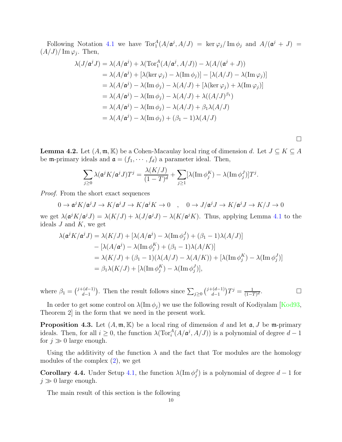<span id="page-9-2"></span>Following Notation [4.1](#page-8-1) we have  $Tor_1^A(A/\mathfrak{a}^j, A/J) = \ker \varphi_j / \operatorname{Im} \phi_j$  and  $A/(\mathfrak{a}^j + J) =$  $(A/J)/\operatorname{Im}\varphi_j$ . Then,

$$
\lambda(J/\mathfrak{a}^j J) = \lambda(A/\mathfrak{a}^j) + \lambda(\operatorname{Tor}_1^A(A/\mathfrak{a}^j, A/J)) - \lambda(A/(\mathfrak{a}^j + J))
$$
  
\n
$$
= \lambda(A/\mathfrak{a}^j) + [\lambda(\ker \varphi_j) - \lambda(\operatorname{Im} \phi_j)] - [\lambda(A/J) - \lambda(\operatorname{Im} \varphi_j)]
$$
  
\n
$$
= \lambda(A/\mathfrak{a}^j) - \lambda(\operatorname{Im} \phi_j) - \lambda(A/J) + [\lambda(\ker \varphi_j) + \lambda(\operatorname{Im} \varphi_j)]
$$
  
\n
$$
= \lambda(A/\mathfrak{a}^j) - \lambda(\operatorname{Im} \phi_j) - \lambda(A/J) + \lambda((A/J)^{\beta_1})
$$
  
\n
$$
= \lambda(A/\mathfrak{a}^j) - \lambda(\operatorname{Im} \phi_j) - \lambda(A/J) + \beta_1 \lambda(A/J)
$$
  
\n
$$
= \lambda(A/\mathfrak{a}^j) - \lambda(\operatorname{Im} \phi_j) + (\beta_1 - 1)\lambda(A/J)
$$

 $\Box$ 

<span id="page-9-0"></span>**Lemma 4.2.** Let  $(A, \mathfrak{m}, \mathbb{K})$  be a Cohen-Macaulay local ring of dimension d. Let  $J \subseteq K \subseteq A$ be **m**-primary ideals and  $\mathfrak{a} = (f_1, \dots, f_d)$  a parameter ideal. Then,

$$
\sum_{j\geq 0} \lambda(\mathfrak{a}^j K/\mathfrak{a}^j J) T^j = \frac{\lambda(K/J)}{(1-T)^d} + \sum_{j\geq 1} [\lambda(\operatorname{Im} \phi_j^K) - \lambda(\operatorname{Im} \phi_j^J)] T^j.
$$

Proof. From the short exact sequences

$$
0 \to \mathfrak{a}^j K / \mathfrak{a}^j J \to K / \mathfrak{a}^j J \to K / \mathfrak{a}^j K \to 0 \quad , \quad 0 \to J / \mathfrak{a}^j J \to K / \mathfrak{a}^j J \to K / J \to 0
$$
  
set  $\lambda (\mathfrak{a}^j K / \mathfrak{a}^j I) = \lambda (K / I) + \lambda (J / \mathfrak{a}^j I) = \lambda (K / \mathfrak{a}^j K)$ . Thus, applying Lomm 2.4.1 to t

we get  $\lambda(\mathfrak{a}^j K/\mathfrak{a}^j J) = \lambda(K/J) + \lambda(J/\mathfrak{a}^j J) - \lambda(K/\mathfrak{a}^j K)$ . Thus, applying Lemma [4.1](#page-8-2) to the ideals  $J$  and  $K$ , we get

$$
\lambda(\mathfrak{a}^j K/\mathfrak{a}^j J) = \lambda(K/J) + [\lambda(A/\mathfrak{a}^j) - \lambda(\operatorname{Im} \phi_j^J) + (\beta_1 - 1)\lambda(A/J)]
$$
  
\n
$$
- [\lambda(A/\mathfrak{a}^j) - \lambda(\operatorname{Im} \phi_j^K) + (\beta_1 - 1)\lambda(A/K)]
$$
  
\n
$$
= \lambda(K/J) + (\beta_1 - 1)(\lambda(A/J) - \lambda(A/K)) + [\lambda(\operatorname{Im} \phi_j^K) - \lambda(\operatorname{Im} \phi_j^J)]
$$
  
\n
$$
= \beta_1 \lambda(K/J) + [\lambda(\operatorname{Im} \phi_j^K) - \lambda(\operatorname{Im} \phi_j^J)],
$$

where  $\beta_1 = \binom{j+(d-1)}{d-1}$  $\binom{(d-1)}{d-1}$ . Then the result follows since  $\sum_{j\geq 0}$   $\binom{j+(d-1)}{d-1}$  $\frac{d-1}{d-1}$ )  $T^j = \frac{1}{(1-T)^2}$  $(1-T)^d$ . — П

In order to get some control on  $\lambda(\text{Im }\phi_i)$  we use the following result of Kodiyalam [\[Kod93,](#page-14-20) Theorem 2] in the form that we need in the present work.

**Proposition 4.3.** Let  $(A, \mathfrak{m}, \mathbb{K})$  be a local ring of dimension d and let  $\mathfrak{a}, J$  be  $\mathfrak{m}$ -primary ideals. Then, for all  $i \geq 0$ , the function  $\lambda(\text{Tor}_i^A(A/\mathfrak{a}^j, A/J))$  is a polynomial of degree  $d-1$ for  $j \gg 0$  large enough.

Using the additivity of the function  $\lambda$  and the fact that Tor modules are the homology modules of the complex [\(2\)](#page-8-3), we get

<span id="page-9-1"></span>**Corollary 4.4.** Under Setup [4.1,](#page-8-1) the function  $\lambda(\text{Im }\phi_j^J)$  is a polynomial of degree  $d-1$  for  $j \gg 0$  large enough.

The main result of this section is the following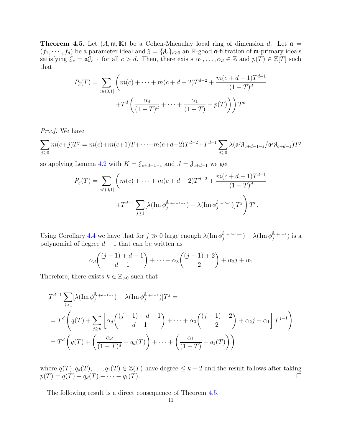<span id="page-10-0"></span>**Theorem 4.5.** Let  $(A, \mathfrak{m}, \mathbb{K})$  be a Cohen-Macaulay local ring of dimension d. Let  $\mathfrak{a} =$  $(f_1, \dots, f_d)$  be a parameter ideal and  $\mathcal{J} = \{\mathcal{J}_c\}_{c\geq 0}$  an R-good a-filtration of m-primary ideals satisfying  $\mathcal{J}_c = \mathfrak{a} \mathcal{J}_{c-1}$  for all  $c > d$ . Then, there exists  $\alpha_1, \ldots, \alpha_d \in \mathbb{Z}$  and  $p(T) \in \mathbb{Z}[T]$  such that

$$
P_{\mathcal{J}}(T) = \sum_{c \in (0,1]} \left( m(c) + \dots + m(c+d-2)T^{d-2} + \frac{m(c+d-1)T^{d-1}}{(1-T)^d} + T^d \left( \frac{\alpha_d}{(1-T)^d} + \dots + \frac{\alpha_1}{(1-T)} + p(T) \right) \right) T^c.
$$

Proof. We have

$$
\sum_{j\geq 0} m(c+j)T^j = m(c) + m(c+1)T + \dots + m(c+d-2)T^{d-2} + T^{d-1} \sum_{j\geq 0} \lambda(\mathfrak{a}^j \mathfrak{J}_{c+d-1-\varepsilon}/\mathfrak{a}^j \mathfrak{J}_{c+d-1})T^j
$$

so applying Lemma [4.2](#page-9-0) with  $K = \mathcal{J}_{c+d-1-\varepsilon}$  and  $J = \mathcal{J}_{c+d-1}$  we get

$$
P_{\mathcal{J}}(T) = \sum_{c \in (0,1]} \left( m(c) + \dots + m(c+d-2)T^{d-2} + \frac{m(c+d-1)T^{d-1}}{(1-T)^d} + T^{d-1} \sum_{j \ge 1} [\lambda(\operatorname{Im} \phi_j^{\mathcal{J}_{c+d-1-c}}) - \lambda(\operatorname{Im} \phi_j^{\mathcal{J}_{c+d-1}})]T^j \right) T^c.
$$

Using Corollary [4.4](#page-9-1) we have that for  $j \gg 0$  large enough  $\lambda(\text{Im }\phi_j^{\mathcal{J}_{c+d-1-\varepsilon}})$  $\delta_{j}^{d_{c+d-1-\varepsilon}}) - \lambda (\operatorname{Im} \phi_{j}^{\delta_{c+d-1}})$  $_j^{\theta c+d-1})$  is a polynomial of degree  $d-1$  that can be written as

$$
\alpha_d\binom{(j-1)+d-1}{d-1}+\cdots+\alpha_3\binom{(j-1)+2}{2}+\alpha_2j+\alpha_1
$$

Therefore, there exists  $k \in \mathbb{Z}_{>0}$  such that

$$
T^{d-1} \sum_{j\geq 1} \left[ \lambda \left( \operatorname{Im} \phi_j^{\delta_{c+d-1-\varepsilon}} \right) - \lambda \left( \operatorname{Im} \phi_j^{\delta_{c+d-1}} \right) \right] T^j =
$$
  
= 
$$
T^d \left( q(T) + \sum_{j\geq k} \left[ \alpha_d \binom{(j-1)+d-1}{d-1} + \dots + \alpha_3 \binom{(j-1)+2}{2} + \alpha_2 j + \alpha_1 \right] T^{j-1} \right)
$$
  
= 
$$
T^d \left( q(T) + \left( \frac{\alpha_d}{(1-T)^d} - q_d(T) \right) + \dots + \left( \frac{\alpha_1}{(1-T)} - q_1(T) \right) \right)
$$

where  $q(T), q_d(T), \ldots, q_1(T) \in \mathbb{Z}(T)$  have degree  $\leq k-2$  and the result follows after taking  $p(T) = q(T) - q_d(T) - \cdots - q_1(T).$ 

The following result is a direct consequence of Theorem [4.5.](#page-10-0)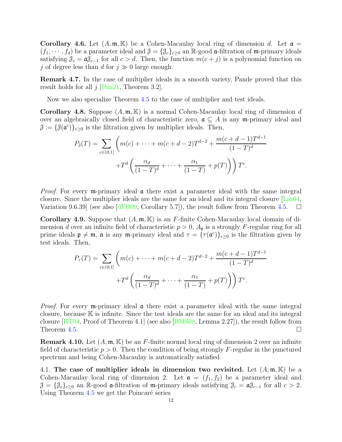<span id="page-11-2"></span>**Corollary 4.6.** Let  $(A, \mathfrak{m}, \mathbb{K})$  be a Cohen-Macaulay local ring of dimension d. Let  $\mathfrak{a} =$  $(f_1, \dots, f_d)$  be a parameter ideal and  $\mathcal{J} = \{\mathcal{J}_c\}_{c\geq 0}$  an R-good a-filtration of m-primary ideals satisfying  $\mathcal{J}_c = \mathfrak{a} \mathcal{J}_{c-1}$  for all  $c > d$ . Then, the function  $m(c + j)$  is a polynomial function on j of degree less than d for  $j \gg 0$  large enough.

Remark 4.7. In the case of multiplier ideals in a smooth variety, Pande proved that this result holds for all  $j$  [\[Pan21,](#page-14-14) Theorem 3.2].

Now we also specialize Theorem [4.5](#page-10-0) to the case of multiplier and test ideals.

<span id="page-11-0"></span>**Corollary 4.8.** Suppose  $(A, \mathfrak{m}, \mathbb{K})$  is a normal Cohen-Macaulay local ring of dimension d over an algebraically closed field of characteristic zero,  $\mathfrak{a} \subseteq A$  is any m-primary ideal and  $\mathcal{J} := \{ \mathcal{J}(\mathfrak{a}^c) \}_{c \geq 0}$  is the filtration given by multiplier ideals. Then,

$$
P_{\mathcal{J}}(T) = \sum_{c \in (0,1]} \left( m(c) + \dots + m(c+d-2)T^{d-2} + \frac{m(c+d-1)T^{d-1}}{(1-T)^d} + T^d \left( \frac{\alpha_d}{(1-T)^d} + \dots + \frac{\alpha_1}{(1-T)} + p(T) \right) \right) T^c.
$$

*Proof.* For every m-primary ideal  $\alpha$  there exist a parameter ideal with the same integral closure. Since the multiplier ideals are the same for an ideal and its integral closure [\[Laz04,](#page-14-0) Variation 9.6.39 (see also  $\left[\text{dFH}\left(9\right), \text{Corollary } 5.7\right]$ ), the result follow from Theorem [4.5.](#page-10-0)

<span id="page-11-1"></span>**Corollary 4.9.** Suppose that  $(A, \mathfrak{m}, \mathbb{K})$  is an F-finite Cohen-Macaulay local domain of dimension d over an infinite field of characteristic  $p > 0$ ,  $A_p$  is a strongly F-regular ring for all prime ideals  $\mathfrak{p} \neq \mathfrak{m}$ ,  $\mathfrak{a}$  is any  $\mathfrak{m}$ -primary ideal and  $\tau = {\{\tau(\mathfrak{a}^c)\}}_{c \geq 0}$  is the filtration given by test ideals. Then,

$$
P_{\tau}(T) = \sum_{c \in (0,1]} \left( m(c) + \dots + m(c+d-2)T^{d-2} + \frac{m(c+d-1)T^{d-1}}{(1-T)^d} + T^d \left( \frac{\alpha_d}{(1-T)^d} + \dots + \frac{\alpha_1}{(1-T)} + p(T) \right) \right) T^c.
$$

*Proof.* For every m-primary ideal  $\alpha$  there exist a parameter ideal with the same integral closure, because K is infinite. Since the test ideals are the same for an ideal and its integral closure [\[HT04,](#page-14-18) Proof of Theorem 4.1] (see also [\[BMS08,](#page-13-0) Lemma 2.27]), the result follow from Theorem [4.5.](#page-10-0)

**Remark 4.10.** Let  $(A, \mathfrak{m}, \mathbb{K})$  be an F-finite normal local ring of dimension 2 over an infinite field of characteristic  $p > 0$ . Then the condition of being strongly F-regular in the punctured spectrum and being Cohen-Macaulay is automatically satisfied

4.1. The case of multiplier ideals in dimension two revisited. Let  $(A, \mathfrak{m}, \mathbb{K})$  be a Cohen-Macaulay local ring of dimension 2. Let  $\mathfrak{a} = (f_1, f_2)$  be a parameter ideal and  $\mathcal{J} = \{\mathcal{J}_c\}_{c\geq0}$  an R-good a-filtration of m-primary ideals satisfying  $\mathcal{J}_c = \mathfrak{a}\mathcal{J}_{c-1}$  for all  $c > 2$ . Using Theorem  $4.5$  we get the Poincaré series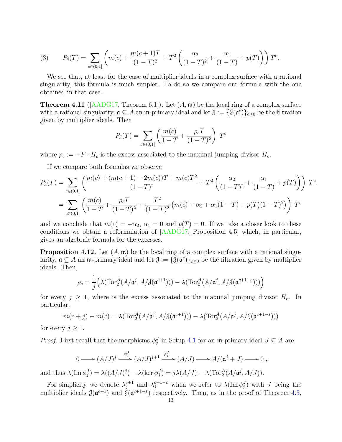<span id="page-12-1"></span>(3) 
$$
P_{\mathcal{J}}(T) = \sum_{c \in (0,1]} \left( m(c) + \frac{m(c+1)T}{(1-T)^2} + T^2 \left( \frac{\alpha_2}{(1-T)^2} + \frac{\alpha_1}{(1-T)} + p(T) \right) \right) T^c.
$$

We see that, at least for the case of multiplier ideals in a complex surface with a rational singularity, this formula is much simpler. To do so we compare our formula with the one obtained in that case.

**Theorem 4.11** ( $[AADG17, Theorem 6.1]$  $[AADG17, Theorem 6.1]$ ). Let  $(A, \mathfrak{m})$  be the local ring of a complex surface with a rational singularity,  $\mathfrak{a} \subseteq A$  an  $\mathfrak{m}$ -primary ideal and let  $\mathfrak{J} := \{ \mathfrak{J}(\mathfrak{a}^c) \}_{c \geq 0}$  be the filtration given by multiplier ideals. Then

$$
P_{\mathcal{J}}(T) = \sum_{c \in (0,1]} \left( \frac{m(c)}{1 - T} + \frac{\rho_c T}{(1 - T)^2} \right) T^c
$$

where  $\rho_c := -F \cdot H_c$  is the excess associated to the maximal jumping divisor  $H_c$ .

If we compare both formulas we observe

$$
P_{\mathcal{J}}(T) = \sum_{c \in (0,1]} \left( \frac{m(c) + (m(c+1) - 2m(c))T + m(c)T^2}{(1-T)^2} + T^2 \left( \frac{\alpha_2}{(1-T)^2} + \frac{\alpha_1}{(1-T)} + p(T) \right) \right) T^c.
$$
  
= 
$$
\sum_{c \in (0,1]} \left( \frac{m(c)}{1-T} + \frac{\rho_c T}{(1-T)^2} + \frac{T^2}{(1-T)^2} \left( m(c) + \alpha_2 + \alpha_1 (1-T) + p(T)(1-T)^2 \right) \right) T^c
$$

and we conclude that  $m(c) = -\alpha_2$ ,  $\alpha_1 = 0$  and  $p(T) = 0$ . If we take a closer look to these conditions we obtain a reformulation of [\[AADG17,](#page-13-4) Proposition 4.5] which, in particular, gives an algebraic formula for the excesses.

<span id="page-12-0"></span>**Proposition 4.12.** Let  $(A, \mathfrak{m})$  be the local ring of a complex surface with a rational singularity,  $\mathfrak{a} \subseteq A$  an  $\mathfrak{m}$ -primary ideal and let  $\mathfrak{J} := \{ \mathfrak{J}(\mathfrak{a}^c) \}_{c \geq 0}$  be the filtration given by multiplier ideals. Then,

$$
\rho_c = \frac{1}{j} \Big( \lambda (\operatorname{Tor}_2^A(A/\mathfrak{a}^j, A/\mathfrak{J}(\mathfrak{a}^{c+1}))) - \lambda (\operatorname{Tor}_2^A(A/\mathfrak{a}^j, A/\mathfrak{J}(\mathfrak{a}^{c+1-\varepsilon}))) \Big)
$$

for every  $j \geq 1$ , where is the excess associated to the maximal jumping divisor  $H_c$ . In particular,

$$
m(c+j) - m(c) = \lambda(\operatorname{Tor}_2^A(A/\mathfrak{a}^j, A/\mathfrak{J}(\mathfrak{a}^{c+1}))) - \lambda(\operatorname{Tor}_2^A(A/\mathfrak{a}^j, A/\mathfrak{J}(\mathfrak{a}^{c+1-\varepsilon})))
$$

for every  $j \geq 1$ .

*Proof.* First recall that the morphisms  $\phi_j^J$  in Setup [4.1](#page-8-1) for an m-primary ideal  $J \subseteq A$  are

$$
0 \longrightarrow (A/J)^j \xrightarrow{\phi_j^J} (A/J)^{j+1} \xrightarrow{\varphi_j^J} (A/J) \longrightarrow A/(\mathfrak{a}^j + J) \longrightarrow 0 ,
$$

and thus  $\lambda(\text{Im }\phi_j^J) = \lambda((A/J)^j) - \lambda(\text{ker }\phi_j^J) = j\lambda(A/J) - \lambda(\text{Tor}_2^A(A/\mathfrak{a}^j, A/J)).$ 

For simplicity we denote  $\lambda_i^{c+1}$  $j_j^{c+1}$  and  $\lambda_j^{c+1-\varepsilon}$  when we refer to  $\lambda(\text{Im }\phi_j^J)$  with J being the multiplier ideals  $\mathcal{J}(\mathfrak{a}^{c+1})$  and  $\mathcal{J}(\mathfrak{a}^{c+1-\epsilon})$  respectively. Then, as in the proof of Theorem [4.5,](#page-10-0)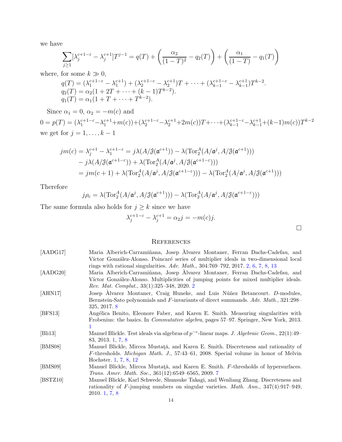we have

$$
\sum_{j\geq 1} [\lambda_j^{c+1-\varepsilon} - \lambda_j^{c+1}]T^{j-1} = q(T) + \left(\frac{\alpha_2}{(1-T)^2} - q_2(T)\right) + \left(\frac{\alpha_1}{(1-T)} - q_1(T)\right)
$$

where, for some  $k\gg 0,$ 

$$
q(T) = (\lambda_1^{c+1-\epsilon} - \lambda_1^{c+1}) + (\lambda_2^{c+1-\epsilon} - \lambda_2^{c+1})T + \dots + (\lambda_{k-1}^{c+1-\epsilon} - \lambda_{k-1}^{c+1})T^{k-2}.
$$
  
\n
$$
q_2(T) = \alpha_2(1 + 2T + \dots + (k-1)T^{k-2}).
$$
  
\n
$$
q_1(T) = \alpha_1(1 + T + \dots + T^{k-2}).
$$

Since  $\alpha_1 = 0, \alpha_2 = -m(c)$  and  $0 = p(T) = (\lambda_1^{c+1-\epsilon} - \lambda_1^{c+1} + m(c)) + (\lambda_2^{c+1-\epsilon} - \lambda_2^{c+1} + 2m(c))T + \cdots + (\lambda_{k-1}^{c+1-\epsilon} - \lambda_{k-1}^{c+1} + (k-1)m(c))T^{k-2}$ we get for  $j = 1, \ldots, k - 1$ 

$$
jm(c) = \lambda_j^{c+1} - \lambda_1^{c+1-\epsilon} = j\lambda(A/\mathcal{J}(\mathfrak{a}^{c+1})) - \lambda(\operatorname{Tor}_2^A(A/\mathfrak{a}^j, A/\mathcal{J}(\mathfrak{a}^{c+1})))
$$
  
\n
$$
- j\lambda(A/\mathcal{J}(\mathfrak{a}^{c+1-\epsilon})) + \lambda(\operatorname{Tor}_2^A(A/\mathfrak{a}^j, A/\mathcal{J}(\mathfrak{a}^{c+1-\epsilon})))
$$
  
\n
$$
= jm(c+1) + \lambda(\operatorname{Tor}_2^A(A/\mathfrak{a}^j, A/\mathcal{J}(\mathfrak{a}^{c+1-\epsilon}))) - \lambda(\operatorname{Tor}_2^A(A/\mathfrak{a}^j, A/\mathcal{J}(\mathfrak{a}^{c+1})))
$$

Therefore

$$
j\rho_c = \lambda(\operatorname{Tor}_2^A(A/\mathfrak{a}^j, A/\mathfrak{J}(\mathfrak{a}^{c+1}))) - \lambda(\operatorname{Tor}_2^A(A/\mathfrak{a}^j, A/\mathfrak{J}(\mathfrak{a}^{c+1-\varepsilon})))
$$

The same formula also holds for  $j\geq k$  since we have

$$
\lambda_j^{c+1-\varepsilon} - \lambda_j^{c+1} = \alpha_2 j = -m(c)j.
$$

 $\Box$ 

### **REFERENCES**

<span id="page-13-7"></span><span id="page-13-6"></span><span id="page-13-5"></span><span id="page-13-4"></span><span id="page-13-3"></span><span id="page-13-2"></span><span id="page-13-1"></span><span id="page-13-0"></span>

| [AADG17] | Maria Alberich-Carramiñana, Josep Álvarez Montaner, Ferran Dachs-Cadefau, and                     |
|----------|---------------------------------------------------------------------------------------------------|
|          | Víctor González-Alonso. Poincaré series of multiplier ideals in two-dimensional local             |
|          | rings with rational singularities. Adv. Math., $304:769-792$ , $2017$ . 2, 6, 7, 8, 13            |
| [AADG20] | Maria Alberich-Carramiñana, Josep Alvarez Montaner, Ferran Dachs-Cadefau, and                     |
|          | Víctor González-Alonso. Multiplicities of jumping points for mixed multiplier ideals.             |
|          | Rev. Mat. Complut., 33(1):325-348, 2020. 2                                                        |
| [AHN17]  | Josep Alvarez Montaner, Craig Huneke, and Luis Núñez Betancourt. D-modules,                       |
|          | Bernstein-Sato polynomials and F-invariants of direct summands. Adv. Math., 321:298–              |
|          | 325, 2017. 8                                                                                      |
| [BFS13]  | Angélica Benito, Eleonore Faber, and Karen E. Smith. Measuring singularities with                 |
|          | Frobenius: the basics. In <i>Commutative algebra</i> , pages 57–97. Springer, New York, 2013.     |
|          |                                                                                                   |
| [Bli13]  | Manuel Blickle. Test ideals via algebras of $p^{-e}$ -linear maps. J. Algebraic Geom., 22(1):49–  |
|          | 83, 2013. 1, 7, 8                                                                                 |
| [BMS08]  | Manuel Blickle, Mircea Mustată, and Karen E. Smith. Discreteness and rationality of               |
|          | $F$ -thresholds. <i>Michigan Math. J.</i> , 57:43–61, 2008. Special volume in honor of Melvin     |
|          | Hochster. 1, 7, 8, 12                                                                             |
| [BMS09]  | Manuel Blickle, Mircea Mustată, and Karen E. Smith. F-thresholds of hypersurfaces.                |
|          | <i>Trans. Amer. Math. Soc.</i> , 361(12):6549-6565, 2009. 7                                       |
| [BSTZ10] | Manuel Blickle, Karl Schwede, Shunsuke Takagi, and Wenliang Zhang. Discreteness and               |
|          | rationality of $F$ -jumping numbers on singular varieties. <i>Math. Ann.</i> , $347(4):917-949$ , |
|          | 2010.1, 7, 8                                                                                      |
|          | 1 A                                                                                               |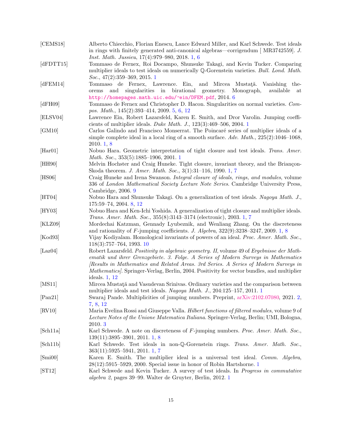<span id="page-14-20"></span><span id="page-14-19"></span><span id="page-14-18"></span><span id="page-14-17"></span><span id="page-14-16"></span><span id="page-14-15"></span><span id="page-14-14"></span><span id="page-14-13"></span><span id="page-14-12"></span><span id="page-14-11"></span><span id="page-14-10"></span><span id="page-14-9"></span><span id="page-14-8"></span><span id="page-14-7"></span><span id="page-14-6"></span><span id="page-14-5"></span><span id="page-14-4"></span><span id="page-14-3"></span><span id="page-14-2"></span><span id="page-14-1"></span><span id="page-14-0"></span>

| [CEMS18]                 | Alberto Chiecchio, Florian Enescu, Lance Edward Miller, and Karl Schwede. Test ideals<br>in rings with finitely generated anti-canonical algebras—corrigendum [MR3742559]. J.                                                                                                                                                                                                            |
|--------------------------|------------------------------------------------------------------------------------------------------------------------------------------------------------------------------------------------------------------------------------------------------------------------------------------------------------------------------------------------------------------------------------------|
| [dFDTT15]                | <i>Inst. Math. Jussieu</i> , 17(4):979-980, 2018. 1, 6<br>Tommaso de Fernex, Roi Docampo, Shunsuke Takagi, and Kevin Tucker. Comparing<br>multiplier ideals to test ideals on numerically $\mathbb{Q}$ -Gorenstein varieties. <i>Bull. Lond. Math.</i>                                                                                                                                   |
|                          | <i>Soc.</i> , $47(2):359-369, 2015.1$                                                                                                                                                                                                                                                                                                                                                    |
| [dFEM14]                 | Tommaso de Fernex, Lawrence. Ein,<br>and Mircea<br>Mustață.<br>Vanishing the-<br>singularities in<br>birational geometry.<br>Monograph,<br>available<br>and<br>orems<br>at<br>http://homepages.math.uic.edu/~ein/DFEM.pdf, 2014.6                                                                                                                                                        |
| [dFH09]                  | Tommaso de Fernex and Christopher D. Hacon. Singularities on normal varieties. Com-<br>pos. Math., 145(2):393-414, 2009. 5, 6, 12                                                                                                                                                                                                                                                        |
| [ELSVO4]                 | Lawrence Ein, Robert Lazarsfeld, Karen E. Smith, and Dror Varolin. Jumping coeffi-<br>cients of multiplier ideals. Duke Math. J., $123(3):469-506$ , 2004. 1                                                                                                                                                                                                                             |
| [GM10]                   | Carlos Galindo and Francisco Monserrat. The Poincaré series of multiplier ideals of a<br>simple complete ideal in a local ring of a smooth surface. $Adv. Math., 225(2):1046-1068,$<br>2010.1, 8                                                                                                                                                                                         |
| [Har01]                  | Nobuo Hara. Geometric interpretation of tight closure and test ideals. Trans. Amer.<br>Math. Soc., 353(5):1885-1906, 2001. 1                                                                                                                                                                                                                                                             |
| [HH90]                   | Melvin Hochster and Craig Huneke. Tight closure, invariant theory, and the Briançon-<br>Skoda theorem. J. Amer. Math. Soc., 3(1):31-116, 1990. 1, 7                                                                                                                                                                                                                                      |
| [HS06]                   | Craig Huneke and Irena Swanson. Integral closure of ideals, rings, and modules, volume<br>336 of London Mathematical Society Lecture Note Series. Cambridge University Press,<br>Cambridge, 2006. 9                                                                                                                                                                                      |
| [HT04]                   | Nobuo Hara and Shunsuke Takagi. On a generalization of test ideals. Nagoya Math. J.,<br>175:59-74, 2004. 8, 12                                                                                                                                                                                                                                                                           |
| [HY03]                   | Nobuo Hara and Ken-Ichi Yoshida. A generalization of tight closure and multiplier ideals.<br>Trans. Amer. Math. Soc., 355(8):3143-3174 (electronic), 2003. 1, 7                                                                                                                                                                                                                          |
| $\left[$ KLZ09 $\right]$ | Mordechai Katzman, Gennady Lyubeznik, and Wenliang Zhang. On the discreteness<br>and rationality of $F$ -jumping coefficients. J. Algebra, 322(9):3238-3247, 2009. 1, 8                                                                                                                                                                                                                  |
| [Kod93]                  | Vijay Kodiyalam. Homological invariants of powers of an ideal. Proc. Amer. Math. Soc.,<br>$118(3):757-764, 1993.10$                                                                                                                                                                                                                                                                      |
| $[{\rm Laz04}]$          | Robert Lazarsfeld. Positivity in algebraic geometry. II, volume 49 of Ergebnisse der Math-<br>ematik und ihrer Grenzgebiete. 3. Folge. A Series of Modern Surveys in Mathematics<br>Results in Mathematics and Related Areas. 3rd Series. A Series of Modern Surveys in<br>Mathematics/. Springer-Verlag, Berlin, 2004. Positivity for vector bundles, and multiplier<br>ideals. $1, 12$ |
| [MS11]                   | Mircea Mustată and Vasudevan Srinivas. Ordinary varieties and the comparison between<br>multiplier ideals and test ideals. Nagoya Math. J., 204:125-157, 2011. 1                                                                                                                                                                                                                         |
| [Pan21]                  | Swaraj Pande. Multiplicities of jumping numbers. Preprint, arXiv:2102.07080, 2021. 2,<br>7, 8, 12                                                                                                                                                                                                                                                                                        |
| $\vert$ RV10 $\vert$     | Maria Evelina Rossi and Giuseppe Valla. Hilbert functions of filtered modules, volume 9 of<br>Lecture Notes of the Unione Matematica Italiana. Springer-Verlag, Berlin; UMI, Bologna,<br>2010.3                                                                                                                                                                                          |
| [Sch11a]                 | Karl Schwede. A note on discreteness of F-jumping numbers. Proc. Amer. Math. Soc.,<br>$139(11):3895-3901, 2011. 1, 8$                                                                                                                                                                                                                                                                    |
| [Sch11b]                 | Karl Schwede. Test ideals in non-Q-Gorenstein rings. Trans. Amer. Math. Soc.,<br>$363(11):5925-5941, 2011. 1, 7$                                                                                                                                                                                                                                                                         |
| [Smi00]                  | Karen E. Smith. The multiplier ideal is a universal test ideal. Comm. Algebra,<br>$28(12):5915-5929$ , 2000. Special issue in honor of Robin Hartshorne. 1                                                                                                                                                                                                                               |
| ST12                     | Karl Schwede and Kevin Tucker. A survey of test ideals. In Progress in commutative<br>algebra 2, pages 39–99. Walter de Gruyter, Berlin, 2012. 1                                                                                                                                                                                                                                         |